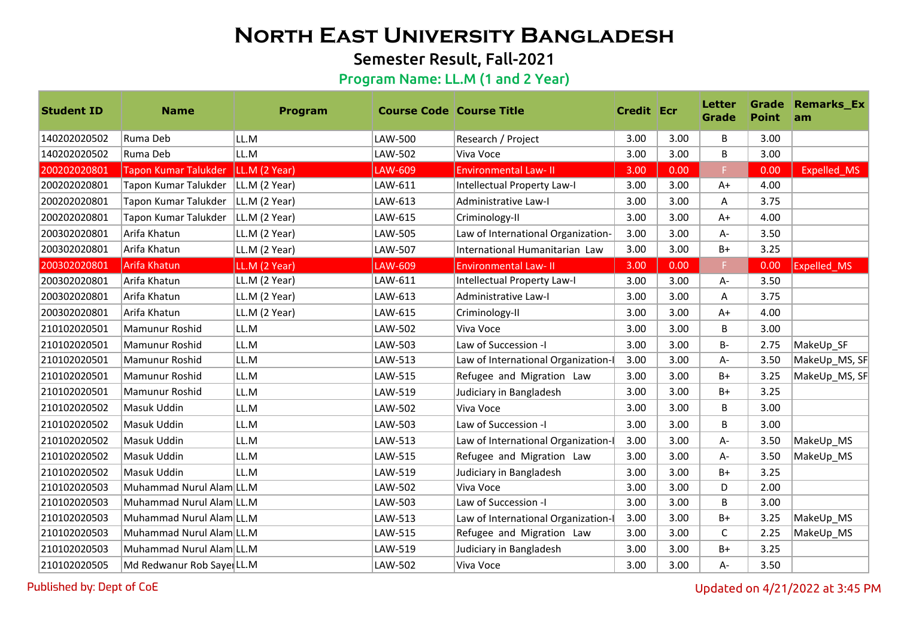# **North East University Bangladesh**

## Semester Result, Fall-2021

#### Program Name: LL.M (1 and 2 Year)

| <b>Student ID</b> | <b>Name</b>                | <b>Program</b> | <b>Course Code Course Title</b> |                                     | <b>Credit Ecr</b> |      | <b>Letter</b><br><b>Grade</b> | <b>Point</b> | <b>Grade Remarks Ex</b><br>am |
|-------------------|----------------------------|----------------|---------------------------------|-------------------------------------|-------------------|------|-------------------------------|--------------|-------------------------------|
| 140202020502      | Ruma Deb                   | LL.M           | LAW-500                         | Research / Project                  | 3.00              | 3.00 | B                             | 3.00         |                               |
| 140202020502      | Ruma Deb                   | LL.M           | LAW-502                         | Viva Voce                           | 3.00              | 3.00 | B                             | 3.00         |                               |
| 200202020801      | Tapon Kumar Talukder       | LL.M (2 Year)  | LAW-609                         | <b>Environmental Law-II</b>         | 3.00              | 0.00 | F.                            | 0.00         | Expelled MS                   |
| 200202020801      | Tapon Kumar Talukder       | LL.M (2 Year)  | LAW-611                         | Intellectual Property Law-I         | 3.00              | 3.00 | $A+$                          | 4.00         |                               |
| 200202020801      | Tapon Kumar Talukder       | LL.M (2 Year)  | LAW-613                         | Administrative Law-I                | 3.00              | 3.00 | A                             | 3.75         |                               |
| 200202020801      | Tapon Kumar Talukder       | LL.M (2 Year)  | LAW-615                         | Criminology-II                      | 3.00              | 3.00 | $A+$                          | 4.00         |                               |
| 200302020801      | Arifa Khatun               | LL.M (2 Year)  | LAW-505                         | Law of International Organization-  | 3.00              | 3.00 | A-                            | 3.50         |                               |
| 200302020801      | Arifa Khatun               | LL.M (2 Year)  | LAW-507                         | International Humanitarian Law      | 3.00              | 3.00 | $B+$                          | 3.25         |                               |
| 200302020801      | Arifa Khatun               | LL.M (2 Year)  | LAW-609                         | <b>Environmental Law-II</b>         | 3.00              | 0.00 | F.                            | 0.00         | <b>Expelled MS</b>            |
| 200302020801      | Arifa Khatun               | LL.M (2 Year)  | LAW-611                         | Intellectual Property Law-I         | 3.00              | 3.00 | А-                            | 3.50         |                               |
| 200302020801      | Arifa Khatun               | LL.M (2 Year)  | LAW-613                         | Administrative Law-I                | 3.00              | 3.00 | A                             | 3.75         |                               |
| 200302020801      | Arifa Khatun               | LL.M (2 Year)  | LAW-615                         | Criminology-II                      | 3.00              | 3.00 | $A+$                          | 4.00         |                               |
| 210102020501      | Mamunur Roshid             | LL.M           | LAW-502                         | Viva Voce                           | 3.00              | 3.00 | B                             | 3.00         |                               |
| 210102020501      | Mamunur Roshid             | LL.M           | LAW-503                         | Law of Succession -I                | 3.00              | 3.00 | $B -$                         | 2.75         | MakeUp_SF                     |
| 210102020501      | Mamunur Roshid             | LL.M           | LAW-513                         | Law of International Organization-I | 3.00              | 3.00 | $A -$                         | 3.50         | MakeUp_MS, SF                 |
| 210102020501      | Mamunur Roshid             | LL.M           | LAW-515                         | Refugee and Migration Law           | 3.00              | 3.00 | $B+$                          | 3.25         | MakeUp_MS, SF                 |
| 210102020501      | Mamunur Roshid             | LL.M           | LAW-519                         | Judiciary in Bangladesh             | 3.00              | 3.00 | $B+$                          | 3.25         |                               |
| 210102020502      | Masuk Uddin                | LL.M           | LAW-502                         | Viva Voce                           | 3.00              | 3.00 | B                             | 3.00         |                               |
| 210102020502      | Masuk Uddin                | LL.M           | LAW-503                         | Law of Succession -I                | 3.00              | 3.00 | B                             | 3.00         |                               |
| 210102020502      | Masuk Uddin                | LL.M           | LAW-513                         | Law of International Organization-I | 3.00              | 3.00 | А-                            | 3.50         | MakeUp_MS                     |
| 210102020502      | Masuk Uddin                | LL.M           | LAW-515                         | Refugee and Migration Law           | 3.00              | 3.00 | A-                            | 3.50         | MakeUp_MS                     |
| 210102020502      | Masuk Uddin                | LL.M           | LAW-519                         | Judiciary in Bangladesh             | 3.00              | 3.00 | $B+$                          | 3.25         |                               |
| 210102020503      | Muhammad Nurul Alam LL.M   |                | LAW-502                         | Viva Voce                           | 3.00              | 3.00 | D                             | 2.00         |                               |
| 210102020503      | Muhammad Nurul Alam LL.M   |                | LAW-503                         | Law of Succession -I                | 3.00              | 3.00 | B                             | 3.00         |                               |
| 210102020503      | Muhammad Nurul Alam LL.M   |                | LAW-513                         | Law of International Organization-I | 3.00              | 3.00 | $B+$                          | 3.25         | MakeUp_MS                     |
| 210102020503      | Muhammad Nurul Alam LL.M   |                | LAW-515                         | Refugee and Migration Law           | 3.00              | 3.00 | C                             | 2.25         | MakeUp_MS                     |
| 210102020503      | Muhammad Nurul Alam LL.M   |                | LAW-519                         | Judiciary in Bangladesh             | 3.00              | 3.00 | $B+$                          | 3.25         |                               |
| 210102020505      | Md Redwanur Rob Sayer LL.M |                | LAW-502                         | Viva Voce                           | 3.00              | 3.00 | A-                            | 3.50         |                               |

Published by: Dept of CoE Updated on 4/21/2022 at 3:45 PM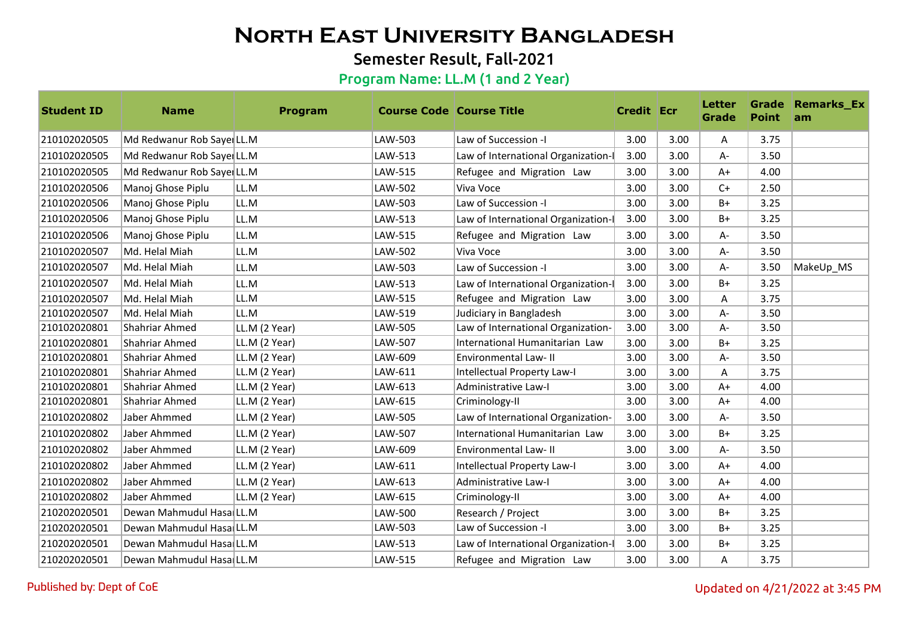# **North East University Bangladesh**

## Semester Result, Fall-2021

#### Program Name: LL.M (1 and 2 Year)

| <b>Student ID</b> | <b>Name</b>                | <b>Program</b> | <b>Course Code Course Title</b> |                                     | <b>Credit Ecr</b> |      | Letter<br>Grade | <b>Point</b> | Grade Remarks_Ex<br>am |
|-------------------|----------------------------|----------------|---------------------------------|-------------------------------------|-------------------|------|-----------------|--------------|------------------------|
| 210102020505      | Md Redwanur Rob Sayer LL.M |                | LAW-503                         | Law of Succession -I                | 3.00              | 3.00 | Α               | 3.75         |                        |
| 210102020505      | Md Redwanur Rob Sayer LL.M |                | LAW-513                         | Law of International Organization-I | 3.00              | 3.00 | А-              | 3.50         |                        |
| 210102020505      | Md Redwanur Rob Sayer LL.M |                | LAW-515                         | Refugee and Migration Law           | 3.00              | 3.00 | $A+$            | 4.00         |                        |
| 210102020506      | Manoj Ghose Piplu          | LL.M           | LAW-502                         | Viva Voce                           | 3.00              | 3.00 | $C+$            | 2.50         |                        |
| 210102020506      | Manoj Ghose Piplu          | LL.M           | LAW-503                         | Law of Succession -I                | 3.00              | 3.00 | $B+$            | 3.25         |                        |
| 210102020506      | Manoj Ghose Piplu          | LL.M           | LAW-513                         | Law of International Organization-I | 3.00              | 3.00 | $B+$            | 3.25         |                        |
| 210102020506      | Manoj Ghose Piplu          | LL.M           | LAW-515                         | Refugee and Migration Law           | 3.00              | 3.00 | $A -$           | 3.50         |                        |
| 210102020507      | Md. Helal Miah             | LL.M           | LAW-502                         | Viva Voce                           | 3.00              | 3.00 | $A -$           | 3.50         |                        |
| 210102020507      | Md. Helal Miah             | LL.M           | LAW-503                         | Law of Succession -I                | 3.00              | 3.00 | A-              | 3.50         | MakeUp_MS              |
| 210102020507      | Md. Helal Miah             | LL.M           | LAW-513                         | Law of International Organization-I | 3.00              | 3.00 | $B+$            | 3.25         |                        |
| 210102020507      | Md. Helal Miah             | LL.M           | LAW-515                         | Refugee and Migration Law           | 3.00              | 3.00 | Α               | 3.75         |                        |
| 210102020507      | Md. Helal Miah             | LL.M           | LAW-519                         | Judiciary in Bangladesh             | 3.00              | 3.00 | $A -$           | 3.50         |                        |
| 210102020801      | Shahriar Ahmed             | LL.M (2 Year)  | LAW-505                         | Law of International Organization-  | 3.00              | 3.00 | A-              | 3.50         |                        |
| 210102020801      | Shahriar Ahmed             | LL.M (2 Year)  | LAW-507                         | International Humanitarian Law      | 3.00              | 3.00 | $B+$            | 3.25         |                        |
| 210102020801      | Shahriar Ahmed             | LL.M (2 Year)  | LAW-609                         | Environmental Law-II                | 3.00              | 3.00 | A-              | 3.50         |                        |
| 210102020801      | Shahriar Ahmed             | LL.M (2 Year)  | LAW-611                         | Intellectual Property Law-I         | 3.00              | 3.00 | Α               | 3.75         |                        |
| 210102020801      | Shahriar Ahmed             | LL.M (2 Year)  | LAW-613                         | Administrative Law-I                | 3.00              | 3.00 | $A+$            | 4.00         |                        |
| 210102020801      | Shahriar Ahmed             | LL.M (2 Year)  | LAW-615                         | Criminology-II                      | 3.00              | 3.00 | $A+$            | 4.00         |                        |
| 210102020802      | Jaber Ahmmed               | LL.M (2 Year)  | LAW-505                         | Law of International Organization-  | 3.00              | 3.00 | A-              | 3.50         |                        |
| 210102020802      | Jaber Ahmmed               | LL.M (2 Year)  | LAW-507                         | International Humanitarian Law      | 3.00              | 3.00 | $B+$            | 3.25         |                        |
| 210102020802      | Jaber Ahmmed               | LL.M (2 Year)  | LAW-609                         | Environmental Law-II                | 3.00              | 3.00 | A-              | 3.50         |                        |
| 210102020802      | Jaber Ahmmed               | LL.M (2 Year)  | LAW-611                         | Intellectual Property Law-I         | 3.00              | 3.00 | $A+$            | 4.00         |                        |
| 210102020802      | Jaber Ahmmed               | LL.M (2 Year)  | LAW-613                         | Administrative Law-I                | 3.00              | 3.00 | $A+$            | 4.00         |                        |
| 210102020802      | Jaber Ahmmed               | LL.M (2 Year)  | LAW-615                         | Criminology-II                      | 3.00              | 3.00 | $A+$            | 4.00         |                        |
| 210202020501      | Dewan Mahmudul HasaiLL.M   |                | LAW-500                         | Research / Project                  | 3.00              | 3.00 | $B+$            | 3.25         |                        |
| 210202020501      | Dewan Mahmudul Hasa LL.M   |                | LAW-503                         | Law of Succession -I                | 3.00              | 3.00 | $B+$            | 3.25         |                        |
| 210202020501      | Dewan Mahmudul HasaiLL.M   |                | LAW-513                         | Law of International Organization-I | 3.00              | 3.00 | $B+$            | 3.25         |                        |
| 210202020501      | Dewan Mahmudul Hasa LL.M   |                | LAW-515                         | Refugee and Migration Law           | 3.00              | 3.00 | Α               | 3.75         |                        |